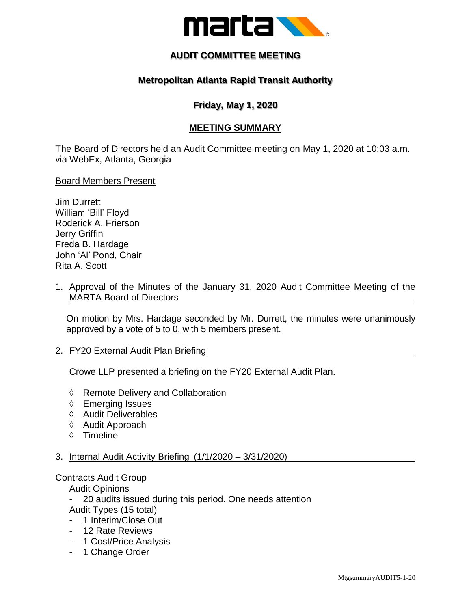

# **AUDIT COMMITTEE MEETING**

## **Metropolitan Atlanta Rapid Transit Authority**

## **Friday, May 1, 2020**

## **MEETING SUMMARY**

The Board of Directors held an Audit Committee meeting on May 1, 2020 at 10:03 a.m. via WebEx, Atlanta, Georgia

Board Members Present

- Jim Durrett William 'Bill' Floyd Roderick A. Frierson Jerry Griffin Freda B. Hardage John 'Al' Pond, Chair Rita A. Scott
- 1. Approval of the Minutes of the January 31, 2020 Audit Committee Meeting of the MARTA Board of Directors

On motion by Mrs. Hardage seconded by Mr. Durrett, the minutes were unanimously approved by a vote of 5 to 0, with 5 members present.

#### 2. FY20 External Audit Plan Briefing

Crowe LLP presented a briefing on the FY20 External Audit Plan.

- ◊ Remote Delivery and Collaboration
- ◊ Emerging Issues
- ◊ Audit Deliverables
- ◊ Audit Approach
- ◊ Timeline
- 3. Internal Audit Activity Briefing (1/1/2020 3/31/2020)

#### Contracts Audit Group

Audit Opinions

- 20 audits issued during this period. One needs attention Audit Types (15 total)
- 1 Interim/Close Out
- 12 Rate Reviews
- 1 Cost/Price Analysis
- 1 Change Order